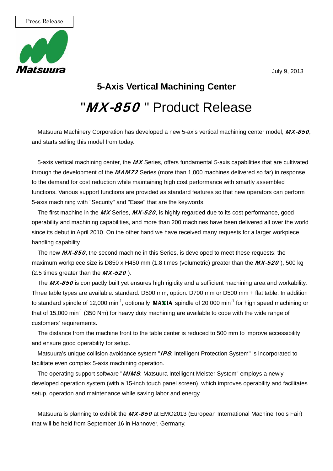

July 9, 2013

## **5-Axis Vertical Machining Center** "*MX-850* " Product Release

Matsuura Machinery Corporation has developed a new 5-axis vertical machining center model, MX-850, and starts selling this model from today.

5-axis vertical machining center, the  $M\chi$  Series, offers fundamental 5-axis capabilities that are cultivated through the development of the MAM72 Series (more than 1,000 machines delivered so far) in response to the demand for cost reduction while maintaining high cost performance with smartly assembled functions. Various support functions are provided as standard features so that new operators can perform 5-axis machining with "Security" and "Ease" that are the keywords.

The first machine in the MX Series, MX-520, is highly regarded due to its cost performance, good operability and machining capabilities, and more than 200 machines have been delivered all over the world since its debut in April 2010. On the other hand we have received many requests for a larger workpiece handling capability.

The new MX-850, the second machine in this Series, is developed to meet these requests: the maximum workpiece size is D850 x H450 mm (1.8 times (volumetric) greater than the  $MX-520$ ), 500 kg (2.5 times greater than the  $MX-520$ ).

The MX-850 is compactly built yet ensures high rigidity and a sufficient machining area and workability. Three table types are available: standard: D500 mm, option: D700 mm or D500 mm + flat table. In addition to standard spindle of 12,000 min<sup>-1</sup>, optionally **MAXIA** spindle of 20,000 min<sup>-1</sup> for high speed machining or that of 15,000 min<sup>-1</sup> (350 Nm) for heavy duty machining are available to cope with the wide range of customers' requirements.

The distance from the machine front to the table center is reduced to 500 mm to improve accessibility and ensure good operability for setup.

Matsuura's unique collision avoidance system "IPS: Intelligent Protection System" is incorporated to facilitate even complex 5-axis machining operation.

The operating support software "*MIMS*: Matsuura Intelligent Meister System" employs a newly developed operation system (with a 15-inch touch panel screen), which improves operability and facilitates setup, operation and maintenance while saving labor and energy.

Matsuura is planning to exhibit the MX-850 at EMO2013 (European International Machine Tools Fair) that will be held from September 16 in Hannover, Germany.